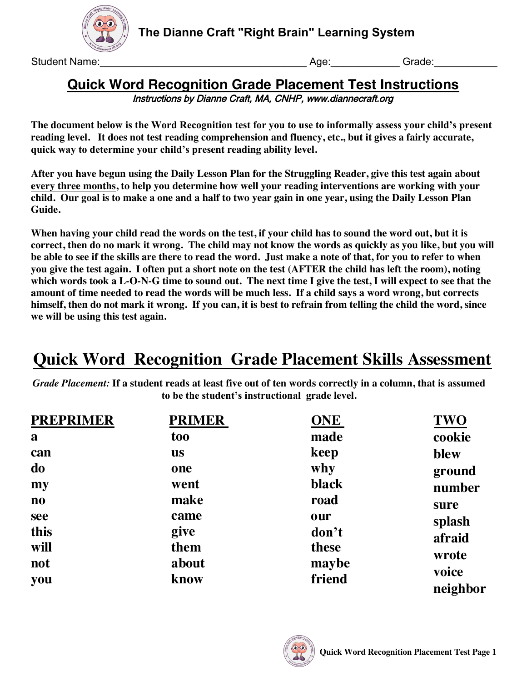

**The Dianne Craft "Right Brain" Learning System**

Student Name: etc. Age: etc. Age: etc. Age: etc. Age: etc. Age: etc. Age: etc. Age: etc. Age: etc. Age: etc. Age: etc. Age: etc. Age: etc. Age: etc. Age: etc. Age: etc. Age: etc. Age: etc. Age: etc. Age: etc. Age: etc. Age

### **Quick Word Recognition Grade Placement Test Instructions** Instructions by Dianne Craft, MA, CNHP, www.diannecraft.org

**The document below is the Word Recognition test for you to use to informally assess your child's present reading level. It does not test reading comprehension and fluency, etc., but it gives a fairly accurate, quick way to determine your child's present reading ability level.**

**After you have begun using the Daily Lesson Plan for the Struggling Reader, give this test again about every three months, to help you determine how well your reading interventions are working with your child. Our goal is to make a one and a half to two year gain in one year, using the Daily Lesson Plan Guide.** 

**When having your child read the words on the test, if your child has to sound the word out, but it is correct, then do no mark it wrong. The child may not know the words as quickly as you like, but you will be able to see if the skills are there to read the word. Just make a note of that, for you to refer to when you give the test again. I often put a short note on the test (AFTER the child has left the room), noting which words took a L-O-N-G time to sound out. The next time I give the test, I will expect to see that the amount of time needed to read the words will be much less. If a child says a word wrong, but corrects himself, then do not mark it wrong. If you can, it is best to refrain from telling the child the word, since we will be using this test again.** 

# **Quick Word Recognition Grade Placement Skills Assessment**

*Grade Placement:* **If a student reads at least five out of ten words correctly in a column, that is assumed to be the student's instructional grade level.**

| <b>PREPRIMER</b>       | <b>PRIMER</b> | <b>ONE</b> | <b>TWO</b>        |
|------------------------|---------------|------------|-------------------|
| a                      | too           | made       | cookie            |
| can                    | <b>us</b>     | keep       | blew              |
| do                     | one           | why        | ground            |
| my                     | went          | black      | number            |
| $\mathbf{n}\mathbf{o}$ | make          | road       | sure              |
| see                    | came          | our        | splash            |
| this                   | give          | don't      | afraid            |
| will                   | them          | these      | wrote             |
| not                    | about         | maybe      |                   |
| you                    | know          | friend     | voice<br>neighbor |

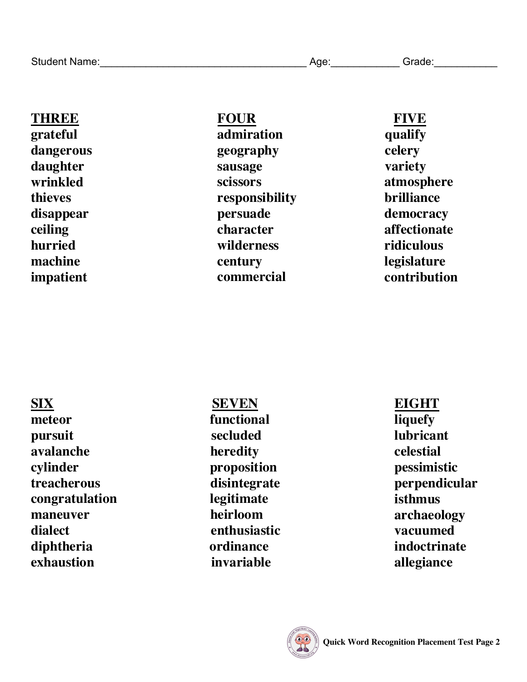**THREE grateful dangerous daughter wrinkled thieves disappear ceiling hurried machine impatient** 

# **FOUR**

**admiration geography sausage scissors responsibility persuade character wilderness century commercial** 

### **FIVE qualify**

**celery variety atmosphere brilliance democracy affectionate ridiculous legislature contribution**

**meteor functional pursuit** secluded **avalanche heredity cylinder proposition treacherous disintegrate congratulation legitimate maneuver heirloom dialect enthusiastic diphtheria ordinance exhaustion** invariable

**SIX SEVEN** 

## **EIGHT**

**liquefy lubricant celestial pessimistic perpendicular isthmus archaeology vacuumed indoctrinate allegiance**